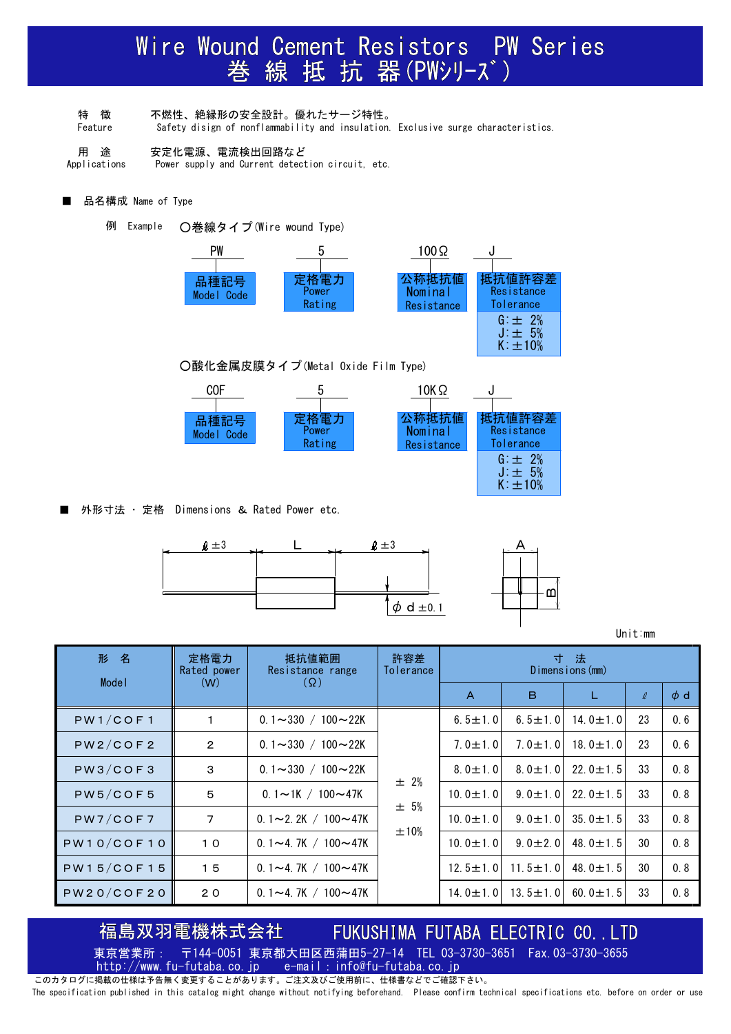# Wire Wound Cement Resistors PW Series<br>巻線抵抗器(PWシリーズ)

- 特 徴 不燃性、絶縁形の安全設計。優れたサージ特性。
- Feature Safety disign of nonflammability and insulation. Exclusive surge characteristics.
- 用 途 安定化電源、電流検出回路など
- Applications Power supply and Current detection circuit, etc.
- 品名構成 Name of Type
	- 例 Example ○巻線タイプ(Wire wound Type)





■ 外形寸法 ・ 定格 Dimensions & Rated Power etc.



Unit:mm

| 形 名               | 定格電力<br>Rated power | 抵抗値範囲<br>Resistance range        | 許容差<br>Tolerance     | 寸法<br>Dimensions (mm) |                |                |        |          |
|-------------------|---------------------|----------------------------------|----------------------|-----------------------|----------------|----------------|--------|----------|
| Model             | (W)                 | $(\Omega)$                       |                      | $\overline{A}$        | B.             |                | $\ell$ | $\phi$ d |
| PW1/COF1          | 1                   | 0.1 $\sim$ 330 / 100 $\sim$ 22K  | ± 2%<br>± 5%<br>±10% | 6.5 $\pm$ 1.0         | 6.5 $\pm$ 1.0  | 14.0 $\pm$ 1.0 | 23     | 0.6      |
| PW2/COF2          | $\overline{2}$      | 0.1 $\sim$ 330 / 100 $\sim$ 22K  |                      | $7.0 \pm 1.0$         | $7.0 \pm 1.0$  | 18.0 $\pm$ 1.0 | 23     | 0.6      |
| PW3/COF3          | $\mathsf 3$         | $0.1 \sim 330 / 100 \sim 22K$    |                      | $8.0 \pm 1.0$         | $8.0 \pm 1.0$  | 22.0 $\pm$ 1.5 | 33     | 0.8      |
| PW5/COF5          | 5                   | $0.1 \sim 1$ K / 100 $\sim$ 47K  |                      | $10.0 \pm 1.0$        | $9.0 \pm 1.0$  | 22.0 $\pm$ 1.5 | 33     | 0.8      |
| PW7/COF7          | $\overline{7}$      | 0.1 $\sim$ 2.2K / 100 $\sim$ 47K |                      | $10.0 \pm 1.01$       | $9.0 \pm 1.0$  | 35.0 $\pm$ 1.5 | 33     | 0.8      |
| PW10/COF10        | 10                  | 0.1 $\sim$ 4.7K / 100 $\sim$ 47K |                      | $10.0 \pm 1.0$        | $9.0 \pm 2.0$  | 48.0 $\pm$ 1.5 | 30     | 0.8      |
| <b>PW15/COF15</b> | 15                  | $0.1 - 4.7K / 100 - 47K$         |                      | $12.5 \pm 1.0$        | $11.5 \pm 1.0$ | 48.0 $\pm$ 1.5 | 30     | 0.8      |
| PW20/COF20        | 20                  | $0.1 - 4.7K / 100 - 47K$         |                      | $14.0 \pm 1.0$        | $13.5 \pm 1.0$ | 60.0 $\pm$ 1.5 | 33     | 0.8      |

島双羽電機株式会社

## FUKUSHIMA FUTABA ELECTRIC CO., LTD

東京営業所: 〒144-0051 東京都大田区西蒲田5-27-14 TEL 03-3730-3651 Fax.03-3730-3655 http://www.fu-futaba.co.jp e-mail: info@fu-futaba.co.jp

このカタログに掲載の仕様は予告無く変更することがあります。ご注文及びご使用前に、仕様書などでご確認下さい。 The specification published in this catalog might change without notifying beforehand. Please confirm technical specifications etc. before on order or use